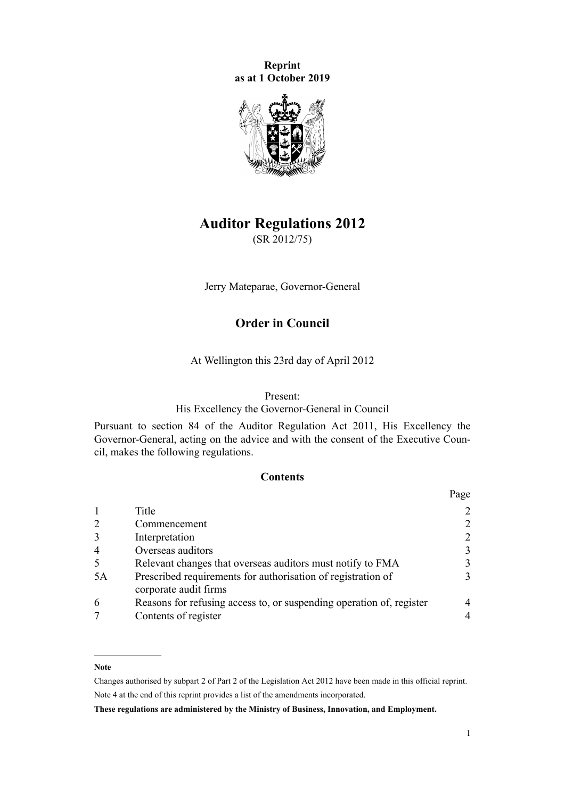**Reprint as at 1 October 2019**



# **Auditor Regulations 2012**

(SR 2012/75)

Jerry Mateparae, Governor-General

# **Order in Council**

At Wellington this 23rd day of April 2012

#### Present:

His Excellency the Governor-General in Council

Pursuant to [section 84](http://legislation.govt.nz/pdflink.aspx?id=DLM3231527) of the [Auditor Regulation Act 2011](http://legislation.govt.nz/pdflink.aspx?id=DLM3230554), His Excellency the Governor-General, acting on the advice and with the consent of the Executive Council, makes the following regulations.

### **Contents**

|                |                                                                                       | Page           |
|----------------|---------------------------------------------------------------------------------------|----------------|
|                | Title                                                                                 | $\overline{2}$ |
| 2              | Commencement                                                                          | 2              |
| 3              | Interpretation                                                                        | 2              |
| $\overline{4}$ | Overseas auditors                                                                     | 3              |
| 5              | Relevant changes that overseas auditors must notify to FMA                            | 3              |
| 5A             | Prescribed requirements for authorisation of registration of<br>corporate audit firms | 3              |
| 6              | Reasons for refusing access to, or suspending operation of, register                  | 4              |
|                | Contents of register                                                                  | 4              |

#### **Note**

Changes authorised by [subpart 2](http://legislation.govt.nz/pdflink.aspx?id=DLM2998524) of Part 2 of the Legislation Act 2012 have been made in this official reprint. Note 4 at the end of this reprint provides a list of the amendments incorporated.

**These regulations are administered by the Ministry of Business, Innovation, and Employment.**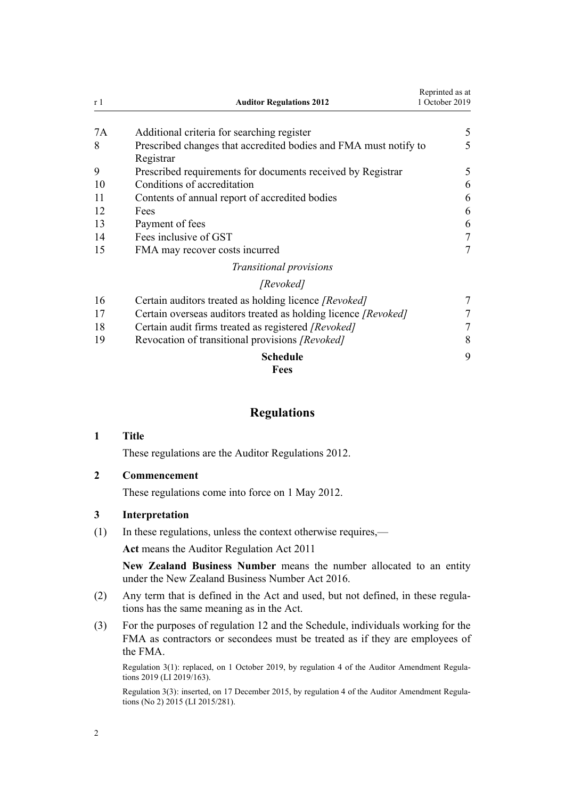<span id="page-1-0"></span>

| r 1 | <b>Auditor Regulations 2012</b>                                               | Reprinted as at<br>1 October 2019 |
|-----|-------------------------------------------------------------------------------|-----------------------------------|
| 7A  | Additional criteria for searching register                                    | 5                                 |
| 8   | Prescribed changes that accredited bodies and FMA must notify to<br>Registrar | 5                                 |
| 9   | Prescribed requirements for documents received by Registrar                   | 5                                 |
| 10  | Conditions of accreditation                                                   | 6                                 |
| 11  | Contents of annual report of accredited bodies                                | 6                                 |
| 12  | Fees                                                                          | 6                                 |
| 13  | Payment of fees                                                               | 6                                 |
| 14  | Fees inclusive of GST                                                         | 7                                 |
| 15  | FMA may recover costs incurred                                                | 7                                 |
|     | Transitional provisions                                                       |                                   |
|     | [Revoked]                                                                     |                                   |
| 16  | Certain auditors treated as holding licence [Revoked]                         | 7                                 |
| 17  | Certain overseas auditors treated as holding licence [Revoked]                | 7                                 |
| 18  | Certain audit firms treated as registered [Revoked]                           | 7                                 |
| 19  | Revocation of transitional provisions [Revoked]                               | 8                                 |
|     | <b>Schedule</b>                                                               | 9                                 |
|     | <b>Fees</b>                                                                   |                                   |

# **Regulations**

### **1 Title**

These regulations are the Auditor Regulations 2012.

# **2 Commencement**

These regulations come into force on 1 May 2012.

### **3 Interpretation**

(1) In these regulations, unless the context otherwise requires,—

**Act** means the [Auditor Regulation Act 2011](http://legislation.govt.nz/pdflink.aspx?id=DLM3230554)

**New Zealand Business Number** means the number allocated to an entity under the [New Zealand Business Number Act 2016.](http://legislation.govt.nz/pdflink.aspx?id=DLM6431501)

- (2) Any term that is defined in the Act and used, but not defined, in these regulations has the same meaning as in the Act.
- (3) For the purposes of [regulation 12](#page-5-0) and the [Schedule](#page-8-0), individuals working for the FMA as contractors or secondees must be treated as if they are employees of the FMA.

Regulation 3(1): replaced, on 1 October 2019, by [regulation 4](http://legislation.govt.nz/pdflink.aspx?id=LMS230602) of the Auditor Amendment Regulations 2019 (LI 2019/163).

Regulation 3(3): inserted, on 17 December 2015, by [regulation 4](http://legislation.govt.nz/pdflink.aspx?id=DLM6642058) of the Auditor Amendment Regulations (No 2) 2015 (LI 2015/281).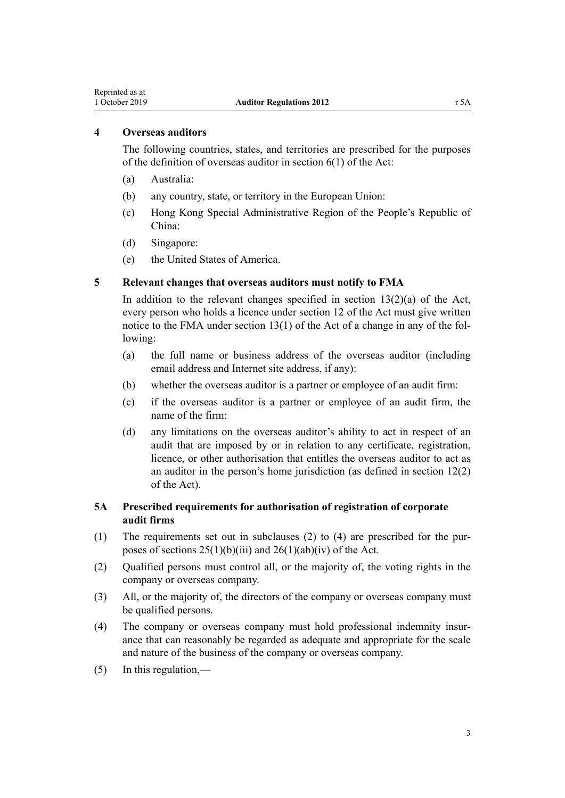### <span id="page-2-0"></span>**4 Overseas auditors**

The following countries, states, and territories are prescribed for the purposes of the definition of overseas auditor in [section 6\(1\)](http://legislation.govt.nz/pdflink.aspx?id=DLM3230581) of the Act:

- (a) Australia:
- (b) any country, state, or territory in the European Union:
- (c) Hong Kong Special Administrative Region of the People's Republic of China:
- (d) Singapore:
- (e) the United States of America.

### **5 Relevant changes that overseas auditors must notify to FMA**

In addition to the relevant changes specified in section  $13(2)(a)$  of the Act, every person who holds a licence under [section 12](http://legislation.govt.nz/pdflink.aspx?id=DLM3231442) of the Act must give written notice to the FMA under section 13(1) of the Act of a change in any of the following:

- (a) the full name or business address of the overseas auditor (including email address and Internet site address, if any):
- (b) whether the overseas auditor is a partner or employee of an audit firm:
- (c) if the overseas auditor is a partner or employee of an audit firm, the name of the firm:
- (d) any limitations on the overseas auditor's ability to act in respect of an audit that are imposed by or in relation to any certificate, registration, licence, or other authorisation that entitles the overseas auditor to act as an auditor in the person's home jurisdiction (as defined in [section 12\(2\)](http://legislation.govt.nz/pdflink.aspx?id=DLM3231442) of the Act).

## **5A Prescribed requirements for authorisation of registration of corporate audit firms**

- (1) The requirements set out in subclauses (2) to (4) are prescribed for the purposes of sections  $25(1)(b)(iii)$  and  $26(1)(ab)(iv)$  of the Act.
- (2) Qualified persons must control all, or the majority of, the voting rights in the company or overseas company.
- (3) All, or the majority of, the directors of the company or overseas company must be qualified persons.
- (4) The company or overseas company must hold professional indemnity insurance that can reasonably be regarded as adequate and appropriate for the scale and nature of the business of the company or overseas company.
- $(5)$  In this regulation,—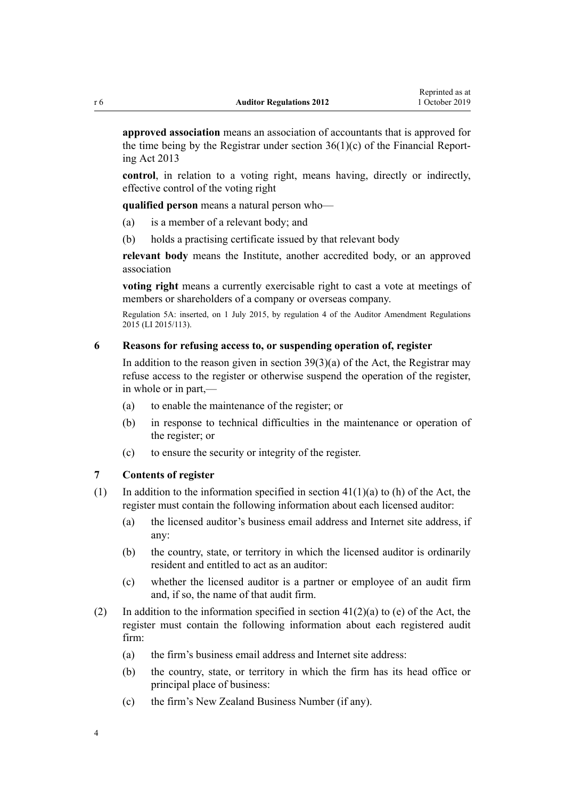<span id="page-3-0"></span>**approved association** means an association of accountants that is approved for the time being by the Registrar under section  $36(1)(c)$  of the Financial Reporting Act 2013

**control**, in relation to a voting right, means having, directly or indirectly, effective control of the voting right

**qualified person** means a natural person who—

- (a) is a member of a relevant body; and
- (b) holds a practising certificate issued by that relevant body

**relevant body** means the Institute, another accredited body, or an approved association

**voting right** means a currently exercisable right to cast a vote at meetings of members or shareholders of a company or overseas company.

Regulation 5A: inserted, on 1 July 2015, by [regulation 4](http://legislation.govt.nz/pdflink.aspx?id=DLM6480452) of the Auditor Amendment Regulations 2015 (LI 2015/113).

#### **6 Reasons for refusing access to, or suspending operation of, register**

In addition to the reason given in section  $39(3)(a)$  of the Act, the Registrar may refuse access to the register or otherwise suspend the operation of the register, in whole or in part,—

- (a) to enable the maintenance of the register; or
- (b) in response to technical difficulties in the maintenance or operation of the register; or
- (c) to ensure the security or integrity of the register.

#### **7 Contents of register**

- (1) In addition to the information specified in section  $41(1)(a)$  to (h) of the Act, the register must contain the following information about each licensed auditor:
	- (a) the licensed auditor's business email address and Internet site address, if any:
	- (b) the country, state, or territory in which the licensed auditor is ordinarily resident and entitled to act as an auditor:
	- (c) whether the licensed auditor is a partner or employee of an audit firm and, if so, the name of that audit firm.
- (2) In addition to the information specified in section  $41(2)(a)$  to (e) of the Act, the register must contain the following information about each registered audit firm:
	- (a) the firm's business email address and Internet site address:
	- (b) the country, state, or territory in which the firm has its head office or principal place of business:
	- (c) the firm's New Zealand Business Number (if any).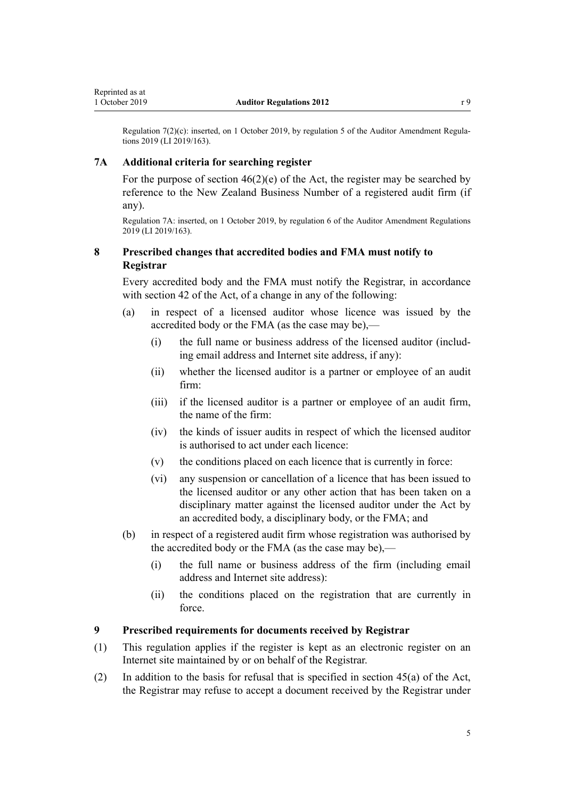<span id="page-4-0"></span>Regulation 7(2)(c): inserted, on 1 October 2019, by [regulation 5](http://legislation.govt.nz/pdflink.aspx?id=LMS230603) of the Auditor Amendment Regulations 2019 (LI 2019/163).

#### **7A Additional criteria for searching register**

For the purpose of section  $46(2)(e)$  of the Act, the register may be searched by reference to the New Zealand Business Number of a registered audit firm (if any).

Regulation 7A: inserted, on 1 October 2019, by [regulation 6](http://legislation.govt.nz/pdflink.aspx?id=LMS230605) of the Auditor Amendment Regulations 2019 (LI 2019/163).

### **8 Prescribed changes that accredited bodies and FMA must notify to Registrar**

Every accredited body and the FMA must notify the Registrar, in accordance with [section 42](http://legislation.govt.nz/pdflink.aspx?id=DLM3616764) of the Act, of a change in any of the following:

- (a) in respect of a licensed auditor whose licence was issued by the accredited body or the FMA (as the case may be),—
	- (i) the full name or business address of the licensed auditor (including email address and Internet site address, if any):
	- (ii) whether the licensed auditor is a partner or employee of an audit firm:
	- (iii) if the licensed auditor is a partner or employee of an audit firm, the name of the firm:
	- (iv) the kinds of issuer audits in respect of which the licensed auditor is authorised to act under each licence:
	- (v) the conditions placed on each licence that is currently in force:
	- (vi) any suspension or cancellation of a licence that has been issued to the licensed auditor or any other action that has been taken on a disciplinary matter against the licensed auditor under the Act by an accredited body, a disciplinary body, or the FMA; and
- (b) in respect of a registered audit firm whose registration was authorised by the accredited body or the FMA (as the case may be),—
	- (i) the full name or business address of the firm (including email address and Internet site address):
	- (ii) the conditions placed on the registration that are currently in force.

#### **9 Prescribed requirements for documents received by Registrar**

- (1) This regulation applies if the register is kept as an electronic register on an Internet site maintained by or on behalf of the Registrar.
- (2) In addition to the basis for refusal that is specified in [section 45\(a\)](http://legislation.govt.nz/pdflink.aspx?id=DLM3231480) of the Act, the Registrar may refuse to accept a document received by the Registrar under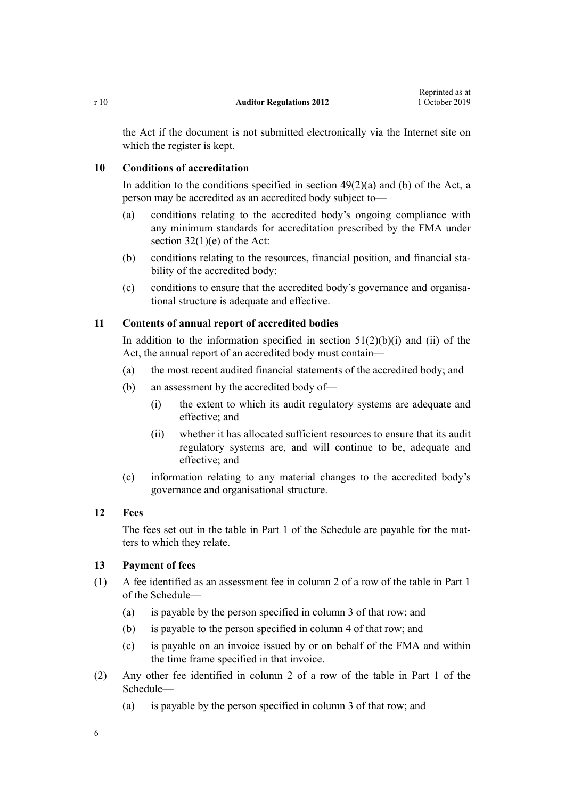<span id="page-5-0"></span>the Act if the document is not submitted electronically via the Internet site on which the register is kept.

#### **10 Conditions of accreditation**

In addition to the conditions specified in section  $49(2)(a)$  and (b) of the Act, a person may be accredited as an accredited body subject to—

- (a) conditions relating to the accredited body's ongoing compliance with any minimum standards for accreditation prescribed by the FMA under section  $32(1)(e)$  of the Act:
- (b) conditions relating to the resources, financial position, and financial stability of the accredited body:
- (c) conditions to ensure that the accredited body's governance and organisational structure is adequate and effective.

### **11 Contents of annual report of accredited bodies**

In addition to the information specified in section  $51(2)(b)(i)$  and (ii) of the Act, the annual report of an accredited body must contain—

- (a) the most recent audited financial statements of the accredited body; and
- (b) an assessment by the accredited body of—
	- (i) the extent to which its audit regulatory systems are adequate and effective; and
	- (ii) whether it has allocated sufficient resources to ensure that its audit regulatory systems are, and will continue to be, adequate and effective; and
- (c) information relating to any material changes to the accredited body's governance and organisational structure.

#### **12 Fees**

The fees set out in the table in [Part 1](#page-8-0) of the Schedule are payable for the matters to which they relate.

#### **13 Payment of fees**

- (1) A fee identified as an assessment fee in column 2 of a row of the table in [Part 1](#page-8-0) of the Schedule—
	- (a) is payable by the person specified in column 3 of that row; and
	- (b) is payable to the person specified in column 4 of that row; and
	- (c) is payable on an invoice issued by or on behalf of the FMA and within the time frame specified in that invoice.
- (2) Any other fee identified in column 2 of a row of the table in [Part 1](#page-8-0) of the Schedule—
	- (a) is payable by the person specified in column 3 of that row; and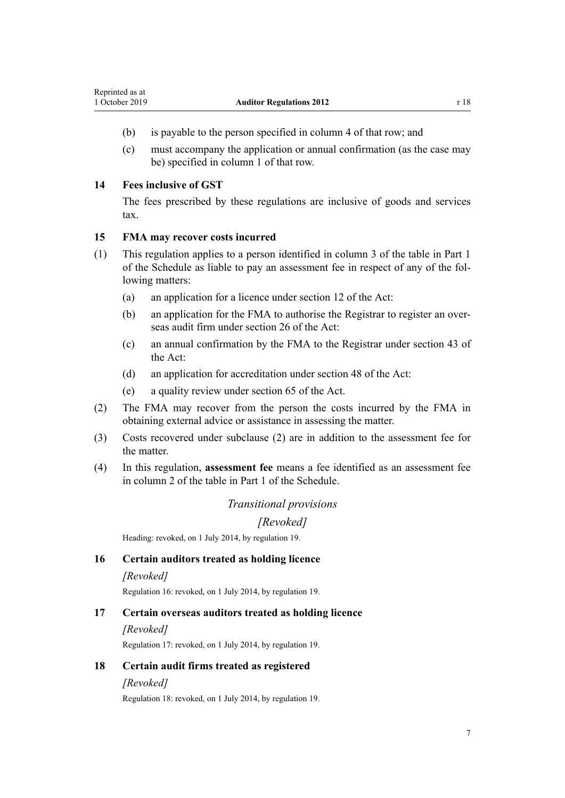- <span id="page-6-0"></span>(b) is payable to the person specified in column 4 of that row; and
- (c) must accompany the application or annual confirmation (as the case may be) specified in column 1 of that row.

#### **14 Fees inclusive of GST**

The fees prescribed by these regulations are inclusive of goods and services tax.

### **15 FMA may recover costs incurred**

- (1) This regulation applies to a person identified in column 3 of the table in [Part 1](#page-8-0) of the Schedule as liable to pay an assessment fee in respect of any of the following matters:
	- (a) an application for a licence under [section 12](http://legislation.govt.nz/pdflink.aspx?id=DLM3231442) of the Act:
	- (b) an application for the FMA to authorise the Registrar to register an overseas audit firm under [section 26](http://legislation.govt.nz/pdflink.aspx?id=DLM3616757) of the Act:
	- (c) an annual confirmation by the FMA to the Registrar under [section 43](http://legislation.govt.nz/pdflink.aspx?id=DLM3231478) of the Act:
	- (d) an application for accreditation under [section 48](http://legislation.govt.nz/pdflink.aspx?id=DLM3231484) of the Act:
	- (e) a quality review under [section 65](http://legislation.govt.nz/pdflink.aspx?id=DLM3231504) of the Act.
- (2) The FMA may recover from the person the costs incurred by the FMA in obtaining external advice or assistance in assessing the matter.
- (3) Costs recovered under subclause (2) are in addition to the assessment fee for the matter.
- (4) In this regulation, **assessment fee** means a fee identified as an assessment fee in column 2 of the table in [Part 1](#page-8-0) of the Schedule.

# *Transitional provisions*

## *[Revoked]*

Heading: revoked, on 1 July 2014, by [regulation 19.](#page-7-0)

### **16 Certain auditors treated as holding licence**

#### *[Revoked]*

Regulation 16: revoked, on 1 July 2014, by [regulation 19.](#page-7-0)

#### **17 Certain overseas auditors treated as holding licence**

#### *[Revoked]*

Regulation 17: revoked, on 1 July 2014, by [regulation 19.](#page-7-0)

### **18 Certain audit firms treated as registered**

#### *[Revoked]*

Regulation 18: revoked, on 1 July 2014, by [regulation 19.](#page-7-0)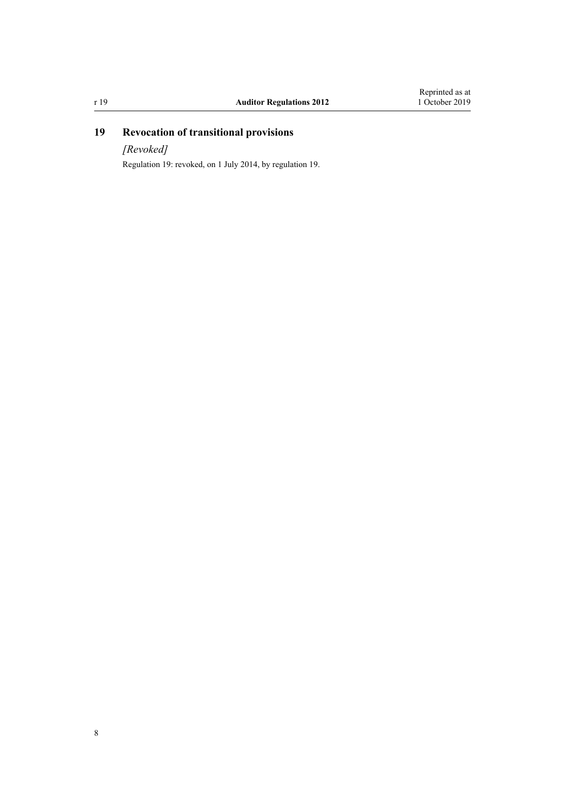# <span id="page-7-0"></span>**19 Revocation of transitional provisions**

*[Revoked]*

Regulation 19: revoked, on 1 July 2014, by regulation 19.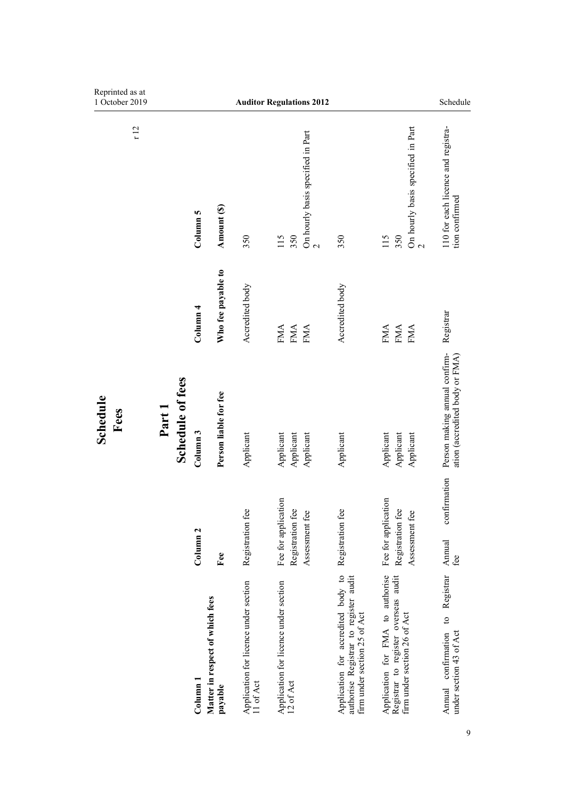<span id="page-8-0"></span>

| Reprinted as at<br>1 October 2019 |                            |                     |                                            | <b>Auditor Regulations 2012</b>                    |                                                    |                                                     |                                                                                                             |                                                                                                          | Schedule                                                                    |
|-----------------------------------|----------------------------|---------------------|--------------------------------------------|----------------------------------------------------|----------------------------------------------------|-----------------------------------------------------|-------------------------------------------------------------------------------------------------------------|----------------------------------------------------------------------------------------------------------|-----------------------------------------------------------------------------|
| r12                               |                            | Column 5            | Amount (\$)                                | 350                                                | 350<br>115                                         | On hourly basis specified in Part<br>$\overline{C}$ | 350                                                                                                         | On hourly basis specified in Part<br>115<br>350<br>$\overline{\mathcal{C}}$                              | 110 for each licence and registra-<br>tion confirmed                        |
|                                   |                            | Column <sub>4</sub> | Who fee payable to                         | Accredited body                                    | <b>FMA</b><br><b>FMA</b>                           | <b>FMA</b>                                          | Accredited body                                                                                             | <b>FMA</b><br><b>FMA</b><br>FMA                                                                          | Registrar                                                                   |
| Schedule<br>Fees                  | Schedule of fees<br>Part 1 | Column 3            | Person liable for fee                      | Applicant                                          | Applicant<br>Applicant                             | Applicant                                           | Applicant                                                                                                   | Applicant<br>Applicant<br>Applicant                                                                      | Person making annual confirm-<br>ation (accredited body or FMA)             |
|                                   |                            | Column <sub>2</sub> | Fee                                        | Registration fee                                   | Fee for application<br>Registration fee            | Assessment fee                                      | Registration fee                                                                                            | Fee for application<br>Registration fee<br>Assessment fee                                                | confirmation<br>Annual<br>fee                                               |
|                                   |                            | $\frac{1}{2}$       | Matter in respect of which fees<br>payable | Application for licence under section<br>11 of Act | Application for licence under section<br>12 of Act |                                                     | Application for accredited body to<br>authorise Registrar to register audit<br>firm under section 25 of Act | Application for FMA to authorise<br>Registrar to register overseas audit<br>firm under section 26 of Act | Registrar<br>$\mathbf{c}$<br>under section 43 of Act<br>Annual confirmation |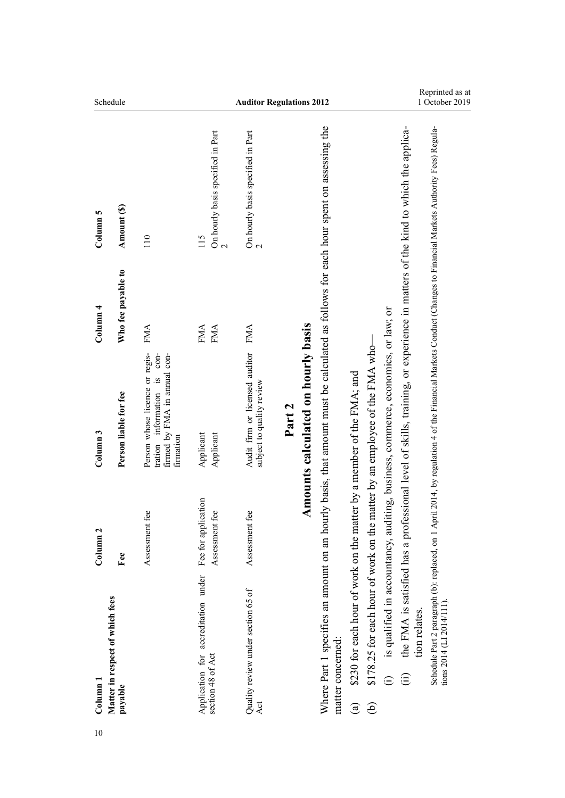<span id="page-9-0"></span>

| Schedule            |                                            |                                                                                                                 |                                                                              | 1 October 2019                                              |                                                                                                                                                          |                                                                                     |                                                                                                                               |                                                                                                                                                                  |
|---------------------|--------------------------------------------|-----------------------------------------------------------------------------------------------------------------|------------------------------------------------------------------------------|-------------------------------------------------------------|----------------------------------------------------------------------------------------------------------------------------------------------------------|-------------------------------------------------------------------------------------|-------------------------------------------------------------------------------------------------------------------------------|------------------------------------------------------------------------------------------------------------------------------------------------------------------|
| Column 5            | Amount (S)                                 | 110                                                                                                             | On hourly basis specified in Part<br>115<br>$\mathbf{\Omega}$                | On hourly basis specified in Part<br>$\mathbf{\Omega}$      |                                                                                                                                                          |                                                                                     | the FMA is satisfied has a professional level of skills, training, or experience in matters of the kind to which the applica- | Schedule Part 2 paragraph (b): replaced, on 1 April 2014, by regulation 4 of the Financial Markets Conduct (Changes to Financial Markets Authority Fees) Regula- |
| Column 4            | Who fee payable to                         | FMA                                                                                                             | <b>FMA</b><br><b>FMA</b>                                                     | <b>FMA</b>                                                  |                                                                                                                                                          |                                                                                     |                                                                                                                               |                                                                                                                                                                  |
| Column <sub>3</sub> | Person liable for fee                      | Person whose licence or regis-<br>$con-$<br>firmed by FMA in annual con-<br>tration information is<br>firmation | Applicant<br>Applicant                                                       | Audit firm or licensed auditor<br>subject to quality review | Amounts calculated on hourly basis<br>Part 2                                                                                                             |                                                                                     | is qualified in accountancy, auditing, business, commerce, economics, or law; or<br>matter by an employee of the FMA who-     |                                                                                                                                                                  |
| Column <sub>2</sub> | Fee                                        | Assessment fee                                                                                                  | Assessment fee                                                               | Assessment fee                                              |                                                                                                                                                          |                                                                                     |                                                                                                                               |                                                                                                                                                                  |
| Column              | Matter in respect of which fees<br>payable |                                                                                                                 | Application for accreditation under Fee for application<br>section 48 of Act | Quality review under section 65 of<br>Act                   | Where Part 1 specifies an amount on an hourly basis, that amount must be calculated as follows for each hour spent on assessing the<br>matter concerned: | \$230 for each hour of work on the matter by a member of the FMA; and<br>$\bigcirc$ | \$178.25 for each hour of work on the 1<br>$\widehat{E}$<br>$\widehat{\oplus}$                                                | tions 2014 (LI 2014/111)<br>tion relates.                                                                                                                        |
| 10                  |                                            |                                                                                                                 |                                                                              |                                                             |                                                                                                                                                          |                                                                                     |                                                                                                                               |                                                                                                                                                                  |

Reprinted as at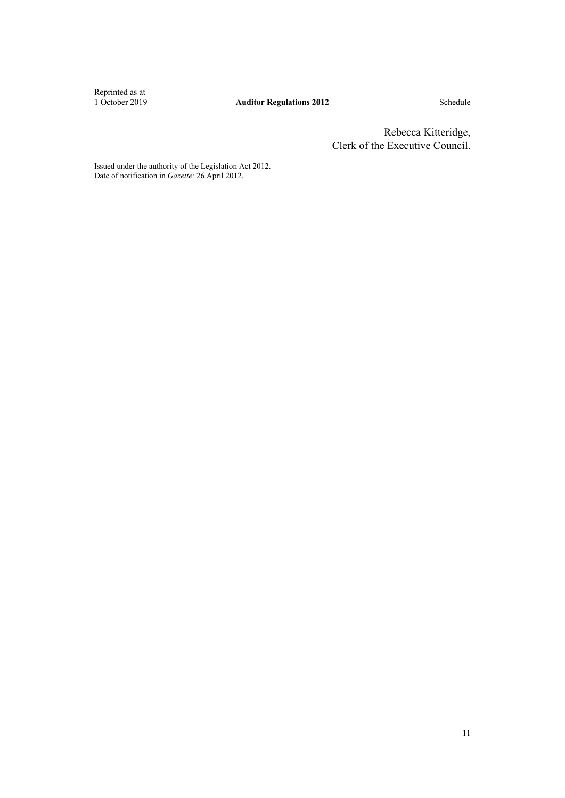Reprinted as at<br>1 October 2019

 Rebecca Kitteridge, Clerk of the Executive Council.

Issued under the authority of the [Legislation Act 2012](http://legislation.govt.nz/pdflink.aspx?id=DLM2997643). Date of notification in *Gazette*: 26 April 2012.